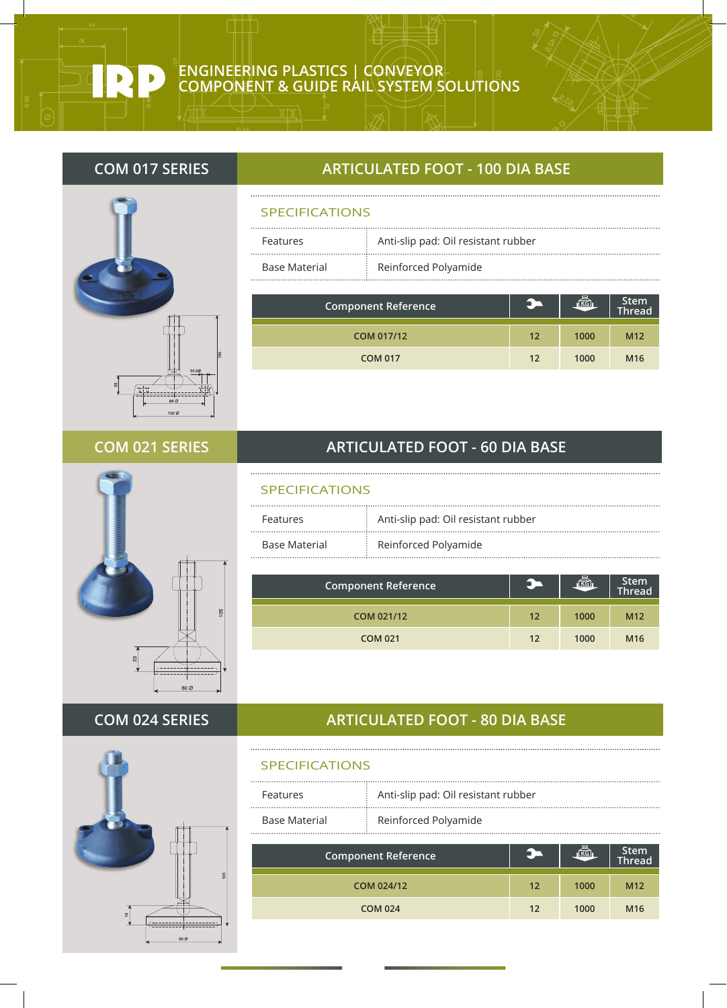#### **ENGINEERING PLASTICS | CONVEYOR COMPONENT & GUIDE RAIL SYSTEM SOLUTIONS**



# **COM 021 SERIES**



# **COM 024 SERIES**



# **COM 017 SERIES ARTICULATED FOOT - 100 DIA BASE**

Anti-slip pad: Oil resistant rubber

#### SPECIFICATIONS

| Features      |  |
|---------------|--|
|               |  |
| Base Material |  |

#### Reinforced Polyamide

| <b>Component Reference</b> |                   | [KG] | Stem<br>Thread  |
|----------------------------|-------------------|------|-----------------|
| COM 017/12                 | $12 \overline{ }$ | 1000 | M <sub>12</sub> |
| <b>COM 017</b>             | 12                | 1000 | M <sub>16</sub> |

# **ARTICULATED FOOT - 60 DIA BASE**

#### SPECIFICATIONS

| Features      | $\frac{1}{2}$ Anti-slip pad: Oil resistant rubber |
|---------------|---------------------------------------------------|
| Base Material | : Reinforced Polyamide                            |

| <b>Component Reference</b> | C- | <u>iã,</u> | Stem<br>Thread  |
|----------------------------|----|------------|-----------------|
| COM 021/12                 | 12 | 1000       | M <sub>12</sub> |
| <b>COM 021</b>             | 12 | 1000       | M <sub>16</sub> |

# **ARTICULATED FOOT - 80 DIA BASE**

#### SPECIFICATIONS

| Features      | Anti-slip pad: Oil resistant rubber |
|---------------|-------------------------------------|
| Base Material | Reinforced Polyamide                |

| <b>Component Reference</b> | œ  | [KG] | Stem<br>Thread  |
|----------------------------|----|------|-----------------|
| COM 024/12                 | 12 | 1000 | M <sub>12</sub> |
| <b>COM 024</b>             | 12 | 1000 | M <sub>16</sub> |